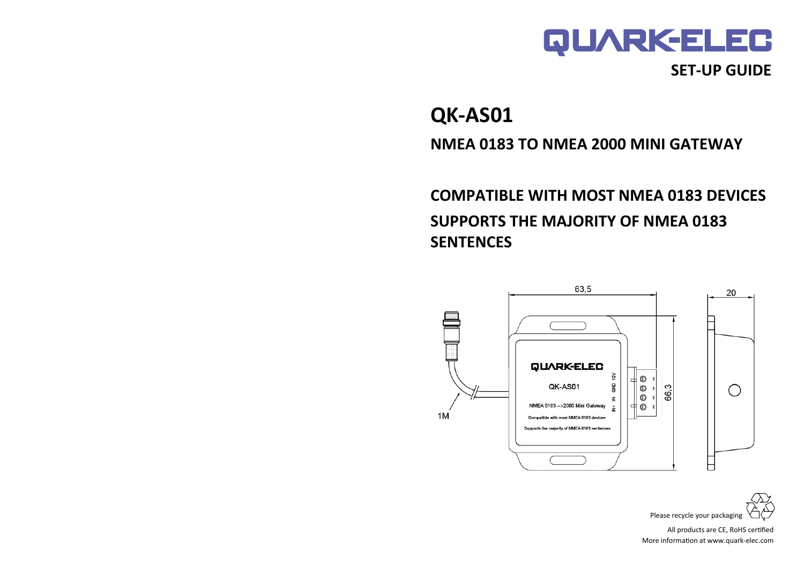

## **QK-AS01**

**NMEA 0183 TO NMEA 2000 MINI GATEWAY**

**COMPATIBLE WITH MOST NMEA 0183 DEVICES SUPPORTS THE MAJORITY OF NMEA 0183 SENTENCES**





All products are CE, RoHS certified More information at www.quark-elec.com